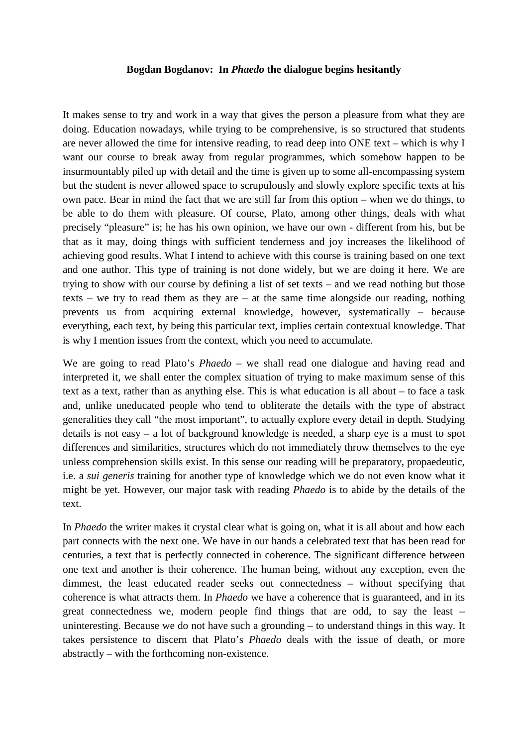## **Bogdan Bogdanov: In** *Phaedo* **the dialogue begins hesitantly**

It makes sense to try and work in a way that gives the person a pleasure from what they are doing. Education nowadays, while trying to be comprehensive, is so structured that students are never allowed the time for intensive reading, to read deep into ONE text – which is why I want our course to break away from regular programmes, which somehow happen to be insurmountably piled up with detail and the time is given up to some all-encompassing system but the student is never allowed space to scrupulously and slowly explore specific texts at his own pace. Bear in mind the fact that we are still far from this option – when we do things, to be able to do them with pleasure. Of course, Plato, among other things, deals with what precisely "pleasure" is; he has his own opinion, we have our own - different from his, but be that as it may, doing things with sufficient tenderness and joy increases the likelihood of achieving good results. What I intend to achieve with this course is training based on one text and one author. This type of training is not done widely, but we are doing it here. We are trying to show with our course by defining a list of set texts – and we read nothing but those texts – we try to read them as they are – at the same time alongside our reading, nothing prevents us from acquiring external knowledge, however, systematically – because everything, each text, by being this particular text, implies certain contextual knowledge. That is why I mention issues from the context, which you need to accumulate.

We are going to read Plato's *Phaedo* – we shall read one dialogue and having read and interpreted it, we shall enter the complex situation of trying to make maximum sense of this text as a text, rather than as anything else. This is what education is all about – to face a task and, unlike uneducated people who tend to obliterate the details with the type of abstract generalities they call "the most important", to actually explore every detail in depth. Studying details is not easy – a lot of background knowledge is needed, a sharp eye is a must to spot differences and similarities, structures which do not immediately throw themselves to the eye unless comprehension skills exist. In this sense our reading will be preparatory, propaedeutic, i.e. a *sui generis* training for another type of knowledge which we do not even know what it might be yet. However, our major task with reading *Phaedo* is to abide by the details of the text.

In *Phaedo* the writer makes it crystal clear what is going on, what it is all about and how each part connects with the next one. We have in our hands a celebrated text that has been read for centuries, a text that is perfectly connected in coherence. The significant difference between one text and another is their coherence. The human being, without any exception, even the dimmest, the least educated reader seeks out connectedness – without specifying that coherence is what attracts them. In *Phaedo* we have a coherence that is guaranteed, and in its great connectedness we, modern people find things that are odd, to say the least – uninteresting. Because we do not have such a grounding – to understand things in this way. It takes persistence to discern that Plato's *Phaedo* deals with the issue of death, or more abstractly – with the forthcoming non-existence.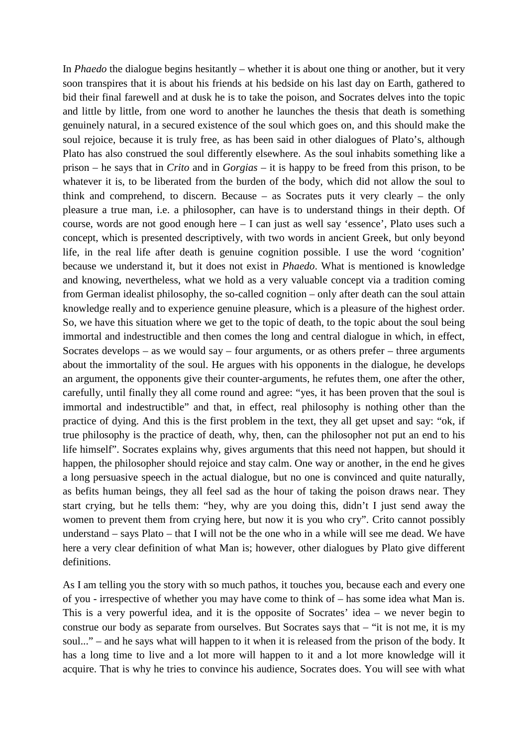In *Phaedo* the dialogue begins hesitantly – whether it is about one thing or another, but it very soon transpires that it is about his friends at his bedside on his last day on Earth, gathered to bid their final farewell and at dusk he is to take the poison, and Socrates delves into the topic and little by little, from one word to another he launches the thesis that death is something genuinely natural, in a secured existence of the soul which goes on, and this should make the soul rejoice, because it is truly free, as has been said in other dialogues of Plato's, although Plato has also construed the soul differently elsewhere. As the soul inhabits something like a prison – he says that in *Crito* and in *Gorgias* – it is happy to be freed from this prison, to be whatever it is, to be liberated from the burden of the body, which did not allow the soul to think and comprehend, to discern. Because – as Socrates puts it very clearly – the only pleasure a true man, i.e. a philosopher, can have is to understand things in their depth. Of course, words are not good enough here – I can just as well say 'essence', Plato uses such a concept, which is presented descriptively, with two words in ancient Greek, but only beyond life, in the real life after death is genuine cognition possible. I use the word 'cognition' because we understand it, but it does not exist in *Phaedo*. What is mentioned is knowledge and knowing, nevertheless, what we hold as a very valuable concept via a tradition coming from German idealist philosophy, the so-called cognition – only after death can the soul attain knowledge really and to experience genuine pleasure, which is a pleasure of the highest order. So, we have this situation where we get to the topic of death, to the topic about the soul being immortal and indestructible and then comes the long and central dialogue in which, in effect, Socrates develops – as we would say – four arguments, or as others prefer – three arguments about the immortality of the soul. He argues with his opponents in the dialogue, he develops an argument, the opponents give their counter-arguments, he refutes them, one after the other, carefully, until finally they all come round and agree: "yes, it has been proven that the soul is immortal and indestructible" and that, in effect, real philosophy is nothing other than the practice of dying. And this is the first problem in the text, they all get upset and say: "ok, if true philosophy is the practice of death, why, then, can the philosopher not put an end to his life himself". Socrates explains why, gives arguments that this need not happen, but should it happen, the philosopher should rejoice and stay calm. One way or another, in the end he gives a long persuasive speech in the actual dialogue, but no one is convinced and quite naturally, as befits human beings, they all feel sad as the hour of taking the poison draws near. They start crying, but he tells them: "hey, why are you doing this, didn't I just send away the women to prevent them from crying here, but now it is you who cry". Crito cannot possibly understand – says Plato – that I will not be the one who in a while will see me dead. We have here a very clear definition of what Man is; however, other dialogues by Plato give different definitions.

As I am telling you the story with so much pathos, it touches you, because each and every one of you - irrespective of whether you may have come to think of – has some idea what Man is. This is a very powerful idea, and it is the opposite of Socrates' idea – we never begin to construe our body as separate from ourselves. But Socrates says that – "it is not me, it is my soul..." – and he says what will happen to it when it is released from the prison of the body. It has a long time to live and a lot more will happen to it and a lot more knowledge will it acquire. That is why he tries to convince his audience, Socrates does. You will see with what